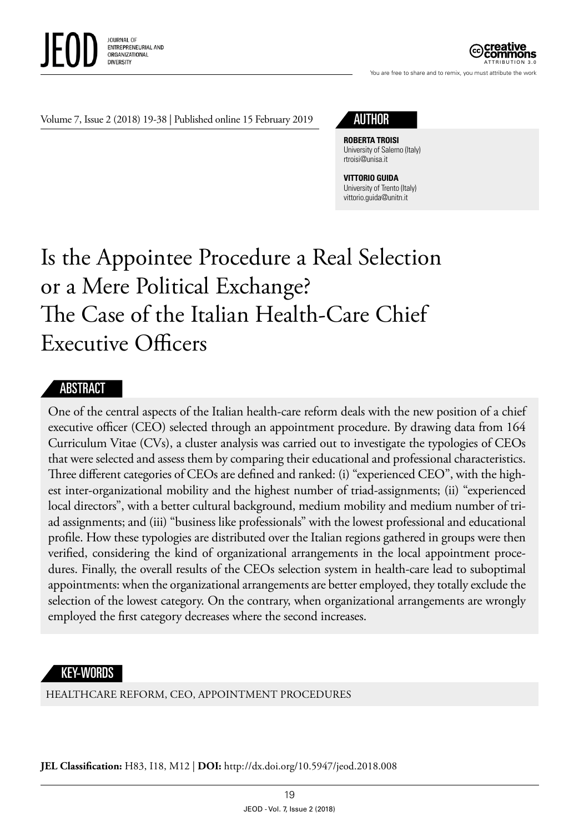

ATTRIBUTION 3.0

You are free to share and to remix, you must attribute the work



# AUTHOR

**ROBERTA TROISI** University of Salerno (Italy) rtroisi@unisa.it

**VITTORIO GUIDA** University of Trento (Italy) vittorio.guida@unitn.it

# Is the Appointee Procedure a Real Selection or a Mere Political Exchange? The Case of the Italian Health-Care Chief Executive Officers

#### ABSTRACT

One of the central aspects of the Italian health-care reform deals with the new position of a chief executive officer (CEO) selected through an appointment procedure. By drawing data from 164 Curriculum Vitae (CVs), a cluster analysis was carried out to investigate the typologies of CEOs that were selected and assess them by comparing their educational and professional characteristics. Three different categories of CEOs are defined and ranked: (i) "experienced CEO", with the highest inter-organizational mobility and the highest number of triad-assignments; (ii) "experienced local directors", with a better cultural background, medium mobility and medium number of triad assignments; and (iii) "business like professionals" with the lowest professional and educational profile. How these typologies are distributed over the Italian regions gathered in groups were then verified, considering the kind of organizational arrangements in the local appointment procedures. Finally, the overall results of the CEOs selection system in health-care lead to suboptimal appointments: when the organizational arrangements are better employed, they totally exclude the selection of the lowest category. On the contrary, when organizational arrangements are wrongly employed the first category decreases where the second increases.

## KEY-WORDS

HEALTHCARE REFORM, CEO, APPOINTMENT PROCEDURES

**JEL Classification:** H83, I18, M12 | **DOI:** http: //dx.doi.org/10.5947/jeod.2018.008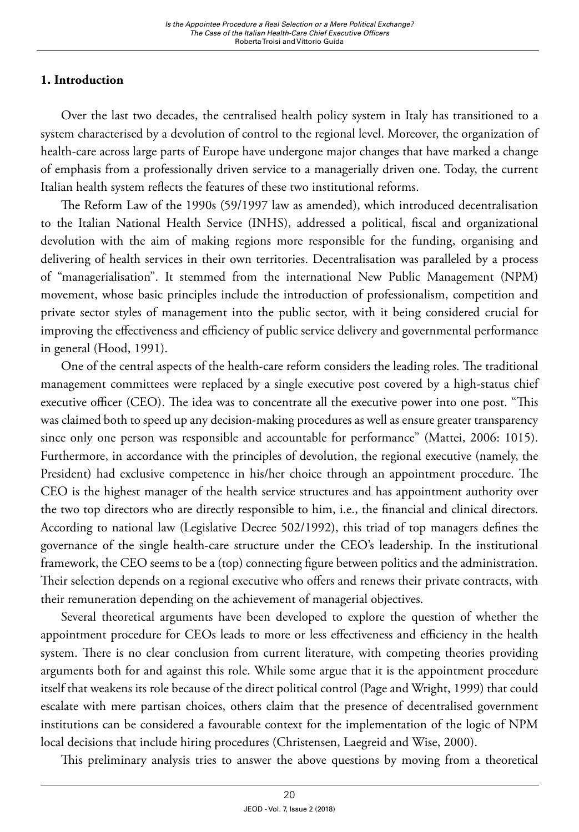## **1. Introduction**

Over the last two decades, the centralised health policy system in Italy has transitioned to a system characterised by a devolution of control to the regional level. Moreover, the organization of health-care across large parts of Europe have undergone major changes that have marked a change of emphasis from a professionally driven service to a managerially driven one. Today, the current Italian health system reflects the features of these two institutional reforms.

The Reform Law of the 1990s (59/1997 law as amended), which introduced decentralisation to the Italian National Health Service (INHS), addressed a political, fiscal and organizational devolution with the aim of making regions more responsible for the funding, organising and delivering of health services in their own territories. Decentralisation was paralleled by a process of "managerialisation". It stemmed from the international New Public Management (NPM) movement, whose basic principles include the introduction of professionalism, competition and private sector styles of management into the public sector, with it being considered crucial for improving the effectiveness and efficiency of public service delivery and governmental performance in general (Hood, 1991).

One of the central aspects of the health-care reform considers the leading roles. The traditional management committees were replaced by a single executive post covered by a high-status chief executive officer (CEO). The idea was to concentrate all the executive power into one post. "This was claimed both to speed up any decision-making procedures as well as ensure greater transparency since only one person was responsible and accountable for performance" (Mattei, 2006: 1015). Furthermore, in accordance with the principles of devolution, the regional executive (namely, the President) had exclusive competence in his/her choice through an appointment procedure. The CEO is the highest manager of the health service structures and has appointment authority over the two top directors who are directly responsible to him, i.e., the financial and clinical directors. According to national law (Legislative Decree 502/1992), this triad of top managers defines the governance of the single health-care structure under the CEO's leadership. In the institutional framework, the CEO seems to be a (top) connecting figure between politics and the administration. Their selection depends on a regional executive who offers and renews their private contracts, with their remuneration depending on the achievement of managerial objectives.

Several theoretical arguments have been developed to explore the question of whether the appointment procedure for CEOs leads to more or less effectiveness and efficiency in the health system. There is no clear conclusion from current literature, with competing theories providing arguments both for and against this role. While some argue that it is the appointment procedure itself that weakens its role because of the direct political control (Page and Wright, 1999) that could escalate with mere partisan choices, others claim that the presence of decentralised government institutions can be considered a favourable context for the implementation of the logic of NPM local decisions that include hiring procedures (Christensen, Laegreid and Wise, 2000).

This preliminary analysis tries to answer the above questions by moving from a theoretical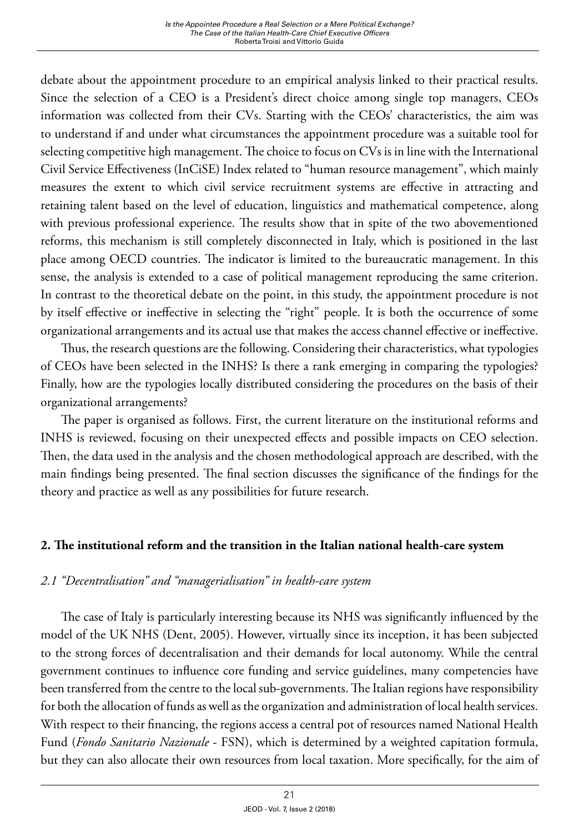debate about the appointment procedure to an empirical analysis linked to their practical results. Since the selection of a CEO is a President's direct choice among single top managers, CEOs information was collected from their CVs. Starting with the CEOs' characteristics, the aim was to understand if and under what circumstances the appointment procedure was a suitable tool for selecting competitive high management. The choice to focus on CVs is in line with the International Civil Service Effectiveness (InCiSE) Index related to "human resource management", which mainly measures the extent to which civil service recruitment systems are effective in attracting and retaining talent based on the level of education, linguistics and mathematical competence, along with previous professional experience. The results show that in spite of the two abovementioned reforms, this mechanism is still completely disconnected in Italy, which is positioned in the last place among OECD countries. The indicator is limited to the bureaucratic management. In this sense, the analysis is extended to a case of political management reproducing the same criterion. In contrast to the theoretical debate on the point, in this study, the appointment procedure is not by itself effective or ineffective in selecting the "right" people. It is both the occurrence of some organizational arrangements and its actual use that makes the access channel effective or ineffective.

Thus, the research questions are the following. Considering their characteristics, what typologies of CEOs have been selected in the INHS? Is there a rank emerging in comparing the typologies? Finally, how are the typologies locally distributed considering the procedures on the basis of their organizational arrangements?

The paper is organised as follows. First, the current literature on the institutional reforms and INHS is reviewed, focusing on their unexpected effects and possible impacts on CEO selection. Then, the data used in the analysis and the chosen methodological approach are described, with the main findings being presented. The final section discusses the significance of the findings for the theory and practice as well as any possibilities for future research.

#### **2. The institutional reform and the transition in the Italian national health-care system**

#### *2.1 "Decentralisation" and "managerialisation" in health-care system*

The case of Italy is particularly interesting because its NHS was significantly influenced by the model of the UK NHS (Dent, 2005). However, virtually since its inception, it has been subjected to the strong forces of decentralisation and their demands for local autonomy. While the central government continues to influence core funding and service guidelines, many competencies have been transferred from the centre to the local sub-governments. The Italian regions have responsibility for both the allocation of funds as well as the organization and administration of local health services. With respect to their financing, the regions access a central pot of resources named National Health Fund (*Fondo Sanitario Nazionale* - FSN), which is determined by a weighted capitation formula, but they can also allocate their own resources from local taxation. More specifically, for the aim of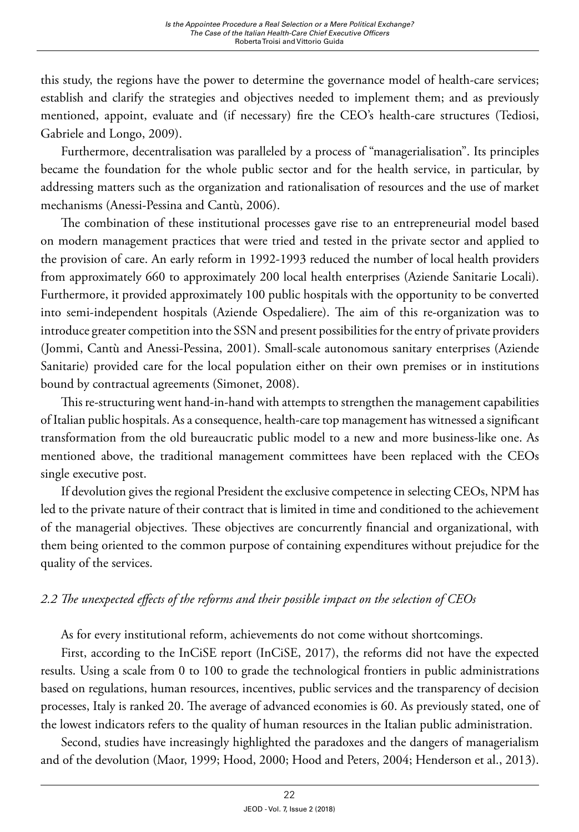this study, the regions have the power to determine the governance model of health-care services; establish and clarify the strategies and objectives needed to implement them; and as previously mentioned, appoint, evaluate and (if necessary) fire the CEO's health-care structures (Tediosi, Gabriele and Longo, 2009).

Furthermore, decentralisation was paralleled by a process of "managerialisation". Its principles became the foundation for the whole public sector and for the health service, in particular, by addressing matters such as the organization and rationalisation of resources and the use of market mechanisms (Anessi-Pessina and Cantù, 2006).

The combination of these institutional processes gave rise to an entrepreneurial model based on modern management practices that were tried and tested in the private sector and applied to the provision of care. An early reform in 1992-1993 reduced the number of local health providers from approximately 660 to approximately 200 local health enterprises (Aziende Sanitarie Locali). Furthermore, it provided approximately 100 public hospitals with the opportunity to be converted into semi-independent hospitals (Aziende Ospedaliere). The aim of this re-organization was to introduce greater competition into the SSN and present possibilities for the entry of private providers (Jommi, Cantù and Anessi-Pessina, 2001). Small-scale autonomous sanitary enterprises (Aziende Sanitarie) provided care for the local population either on their own premises or in institutions bound by contractual agreements (Simonet, 2008).

This re-structuring went hand-in-hand with attempts to strengthen the management capabilities of Italian public hospitals. As a consequence, health-care top management has witnessed a significant transformation from the old bureaucratic public model to a new and more business-like one. As mentioned above, the traditional management committees have been replaced with the CEOs single executive post.

If devolution gives the regional President the exclusive competence in selecting CEOs, NPM has led to the private nature of their contract that is limited in time and conditioned to the achievement of the managerial objectives. These objectives are concurrently financial and organizational, with them being oriented to the common purpose of containing expenditures without prejudice for the quality of the services.

## *2.2 The unexpected effects of the reforms and their possible impact on the selection of CEOs*

As for every institutional reform, achievements do not come without shortcomings.

First, according to the InCiSE report (InCiSE, 2017), the reforms did not have the expected results. Using a scale from 0 to 100 to grade the technological frontiers in public administrations based on regulations, human resources, incentives, public services and the transparency of decision processes, Italy is ranked 20. The average of advanced economies is 60. As previously stated, one of the lowest indicators refers to the quality of human resources in the Italian public administration.

Second, studies have increasingly highlighted the paradoxes and the dangers of managerialism and of the devolution (Maor, 1999; Hood, 2000; Hood and Peters, 2004; Henderson et al., 2013).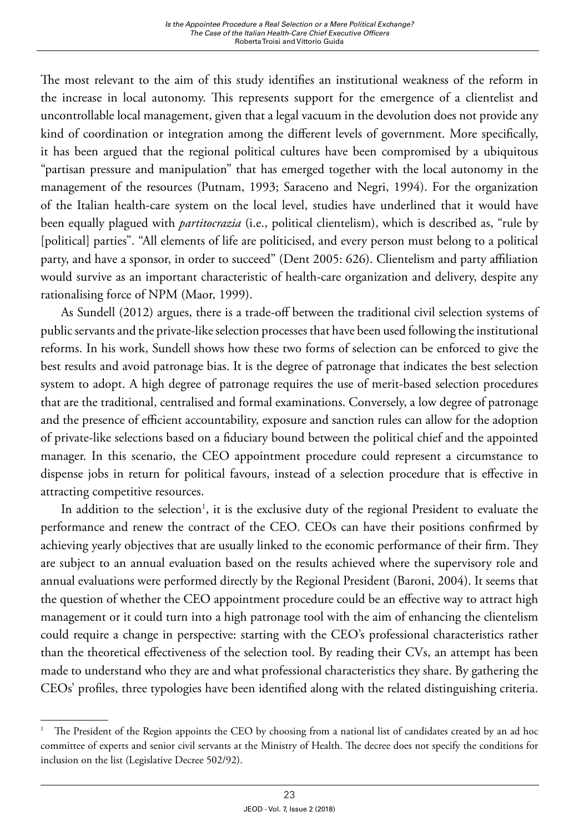The most relevant to the aim of this study identifies an institutional weakness of the reform in the increase in local autonomy. This represents support for the emergence of a clientelist and uncontrollable local management, given that a legal vacuum in the devolution does not provide any kind of coordination or integration among the different levels of government. More specifically, it has been argued that the regional political cultures have been compromised by a ubiquitous "partisan pressure and manipulation" that has emerged together with the local autonomy in the management of the resources (Putnam, 1993; Saraceno and Negri, 1994). For the organization of the Italian health-care system on the local level, studies have underlined that it would have been equally plagued with *partitocrazia* (i.e., political clientelism), which is described as, "rule by [political] parties". "All elements of life are politicised, and every person must belong to a political party, and have a sponsor, in order to succeed" (Dent 2005: 626). Clientelism and party affiliation would survive as an important characteristic of health-care organization and delivery, despite any rationalising force of NPM (Maor, 1999).

As Sundell (2012) argues, there is a trade-off between the traditional civil selection systems of public servants and the private-like selection processes that have been used following the institutional reforms. In his work, Sundell shows how these two forms of selection can be enforced to give the best results and avoid patronage bias. It is the degree of patronage that indicates the best selection system to adopt. A high degree of patronage requires the use of merit-based selection procedures that are the traditional, centralised and formal examinations. Conversely, a low degree of patronage and the presence of efficient accountability, exposure and sanction rules can allow for the adoption of private-like selections based on a fiduciary bound between the political chief and the appointed manager. In this scenario, the CEO appointment procedure could represent a circumstance to dispense jobs in return for political favours, instead of a selection procedure that is effective in attracting competitive resources.

In addition to the selection<sup>1</sup>, it is the exclusive duty of the regional President to evaluate the performance and renew the contract of the CEO. CEOs can have their positions confirmed by achieving yearly objectives that are usually linked to the economic performance of their firm. They are subject to an annual evaluation based on the results achieved where the supervisory role and annual evaluations were performed directly by the Regional President (Baroni, 2004). It seems that the question of whether the CEO appointment procedure could be an effective way to attract high management or it could turn into a high patronage tool with the aim of enhancing the clientelism could require a change in perspective: starting with the CEO's professional characteristics rather than the theoretical effectiveness of the selection tool. By reading their CVs, an attempt has been made to understand who they are and what professional characteristics they share. By gathering the CEOs' profiles, three typologies have been identified along with the related distinguishing criteria.

<sup>1</sup> The President of the Region appoints the CEO by choosing from a national list of candidates created by an ad hoc committee of experts and senior civil servants at the Ministry of Health. The decree does not specify the conditions for inclusion on the list (Legislative Decree 502/92).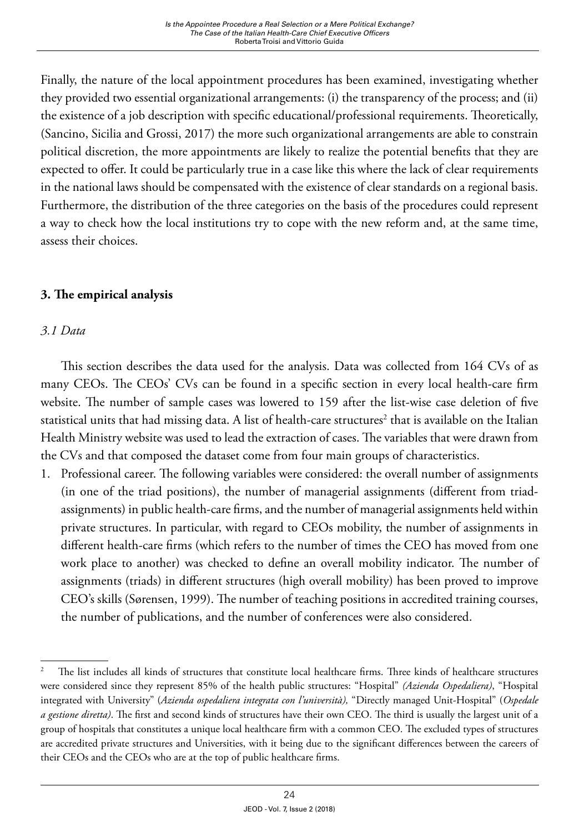Finally, the nature of the local appointment procedures has been examined, investigating whether they provided two essential organizational arrangements: (i) the transparency of the process; and (ii) the existence of a job description with specific educational/professional requirements. Theoretically, (Sancino, Sicilia and Grossi, 2017) the more such organizational arrangements are able to constrain political discretion, the more appointments are likely to realize the potential benefits that they are expected to offer. It could be particularly true in a case like this where the lack of clear requirements in the national laws should be compensated with the existence of clear standards on a regional basis. Furthermore, the distribution of the three categories on the basis of the procedures could represent a way to check how the local institutions try to cope with the new reform and, at the same time, assess their choices.

## **3. The empirical analysis**

#### *3.1 Data*

This section describes the data used for the analysis. Data was collected from 164 CVs of as many CEOs. The CEOs' CVs can be found in a specific section in every local health-care firm website. The number of sample cases was lowered to 159 after the list-wise case deletion of five statistical units that had missing data. A list of health-care structures $^2$  that is available on the Italian Health Ministry website was used to lead the extraction of cases. The variables that were drawn from the CVs and that composed the dataset come from four main groups of characteristics.

1. Professional career. The following variables were considered: the overall number of assignments (in one of the triad positions), the number of managerial assignments (different from triadassignments) in public health-care firms, and the number of managerial assignments held within private structures. In particular, with regard to CEOs mobility, the number of assignments in different health-care firms (which refers to the number of times the CEO has moved from one work place to another) was checked to define an overall mobility indicator. The number of assignments (triads) in different structures (high overall mobility) has been proved to improve CEO's skills (Sørensen, 1999). The number of teaching positions in accredited training courses, the number of publications, and the number of conferences were also considered.

<sup>&</sup>lt;sup>2</sup> The list includes all kinds of structures that constitute local healthcare firms. Three kinds of healthcare structures were considered since they represent 85% of the health public structures: "Hospital" *(Azienda Ospedaliera)*, "Hospital integrated with University" (*Azienda ospedaliera integrata con l'università),* "Directly managed Unit-Hospital" (*Ospedale a gestione diretta)*. The first and second kinds of structures have their own CEO. The third is usually the largest unit of a group of hospitals that constitutes a unique local healthcare firm with a common CEO. The excluded types of structures are accredited private structures and Universities, with it being due to the significant differences between the careers of their CEOs and the CEOs who are at the top of public healthcare firms.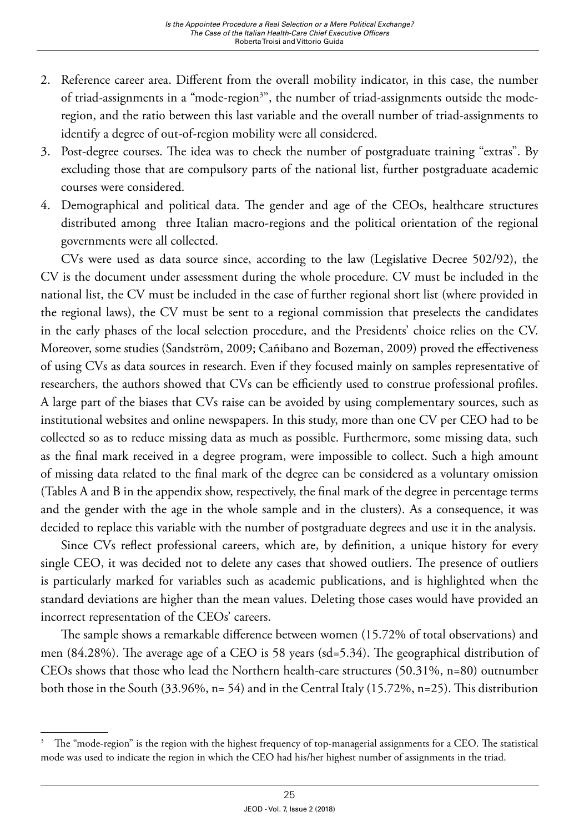- 2. Reference career area. Different from the overall mobility indicator, in this case, the number of triad-assignments in a "mode-region<sup>3</sup>", the number of triad-assignments outside the moderegion, and the ratio between this last variable and the overall number of triad-assignments to identify a degree of out-of-region mobility were all considered.
- 3. Post-degree courses. The idea was to check the number of postgraduate training "extras". By excluding those that are compulsory parts of the national list, further postgraduate academic courses were considered.
- 4. Demographical and political data. The gender and age of the CEOs, healthcare structures distributed among three Italian macro-regions and the political orientation of the regional governments were all collected.

CVs were used as data source since, according to the law (Legislative Decree 502/92), the CV is the document under assessment during the whole procedure. CV must be included in the national list, the CV must be included in the case of further regional short list (where provided in the regional laws), the CV must be sent to a regional commission that preselects the candidates in the early phases of the local selection procedure, and the Presidents' choice relies on the CV. Moreover, some studies (Sandström, 2009; Cañibano and Bozeman, 2009) proved the effectiveness of using CVs as data sources in research. Even if they focused mainly on samples representative of researchers, the authors showed that CVs can be efficiently used to construe professional profiles. A large part of the biases that CVs raise can be avoided by using complementary sources, such as institutional websites and online newspapers. In this study, more than one CV per CEO had to be collected so as to reduce missing data as much as possible. Furthermore, some missing data, such as the final mark received in a degree program, were impossible to collect. Such a high amount of missing data related to the final mark of the degree can be considered as a voluntary omission (Tables A and B in the appendix show, respectively, the final mark of the degree in percentage terms and the gender with the age in the whole sample and in the clusters). As a consequence, it was decided to replace this variable with the number of postgraduate degrees and use it in the analysis.

Since CVs reflect professional careers, which are, by definition, a unique history for every single CEO, it was decided not to delete any cases that showed outliers. The presence of outliers is particularly marked for variables such as academic publications, and is highlighted when the standard deviations are higher than the mean values. Deleting those cases would have provided an incorrect representation of the CEOs' careers.

The sample shows a remarkable difference between women (15.72% of total observations) and men (84.28%). The average age of a CEO is 58 years (sd=5.34). The geographical distribution of CEOs shows that those who lead the Northern health-care structures (50.31%, n=80) outnumber both those in the South (33.96%, n= 54) and in the Central Italy (15.72%, n=25). This distribution

<sup>3</sup> The "mode-region" is the region with the highest frequency of top-managerial assignments for a CEO. The statistical mode was used to indicate the region in which the CEO had his/her highest number of assignments in the triad.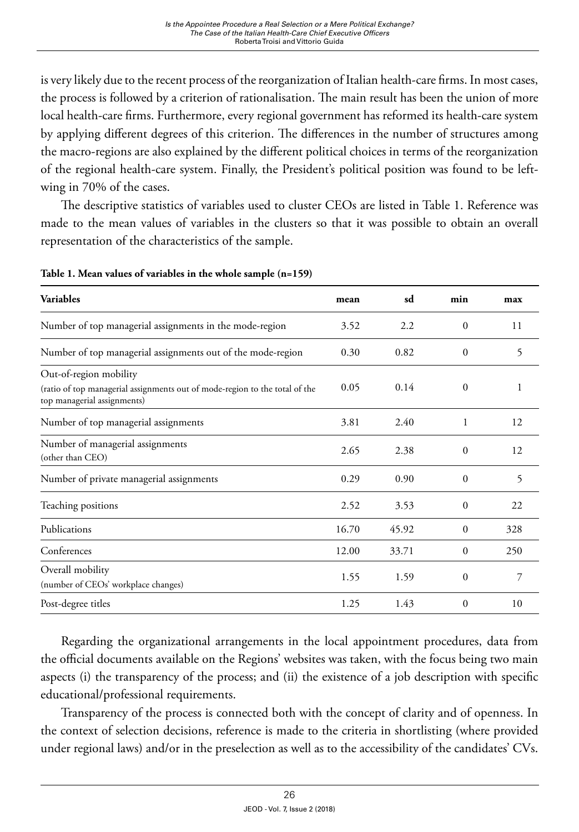is very likely due to the recent process of the reorganization of Italian health-care firms. In most cases, the process is followed by a criterion of rationalisation. The main result has been the union of more local health-care firms. Furthermore, every regional government has reformed its health-care system by applying different degrees of this criterion. The differences in the number of structures among the macro-regions are also explained by the different political choices in terms of the reorganization of the regional health-care system. Finally, the President's political position was found to be leftwing in 70% of the cases.

The descriptive statistics of variables used to cluster CEOs are listed in Table 1. Reference was made to the mean values of variables in the clusters so that it was possible to obtain an overall representation of the characteristics of the sample.

| <b>Variables</b>                                                                                                                     | mean  | sd    | min          | max |
|--------------------------------------------------------------------------------------------------------------------------------------|-------|-------|--------------|-----|
| Number of top managerial assignments in the mode-region                                                                              | 3.52  | 2.2   | $\Omega$     | 11  |
| Number of top managerial assignments out of the mode-region                                                                          | 0.30  | 0.82  | $\Omega$     | 5   |
| Out-of-region mobility<br>(ratio of top managerial assignments out of mode-region to the total of the<br>top managerial assignments) | 0.05  | 0.14  | $\Omega$     | 1   |
| Number of top managerial assignments                                                                                                 | 3.81  | 2.40  | 1            | 12  |
| Number of managerial assignments<br>(other than CEO)                                                                                 | 2.65  | 2.38  | $\Omega$     | 12  |
| Number of private managerial assignments                                                                                             | 0.29  | 0.90  | $\Omega$     | 5   |
| Teaching positions                                                                                                                   | 2.52  | 3.53  | $\Omega$     | 22  |
| Publications                                                                                                                         | 16.70 | 45.92 | $\Omega$     | 328 |
| Conferences                                                                                                                          | 12.00 | 33.71 | $\theta$     | 250 |
| Overall mobility<br>(number of CEOs' workplace changes)                                                                              | 1.55  | 1.59  | $\mathbf{0}$ | 7   |
| Post-degree titles                                                                                                                   | 1.25  | 1.43  | $\mathbf{0}$ | 10  |

**Table 1. Mean values of variables in the whole sample (n=159)** 

Regarding the organizational arrangements in the local appointment procedures, data from the official documents available on the Regions' websites was taken, with the focus being two main aspects (i) the transparency of the process; and (ii) the existence of a job description with specific educational/professional requirements.

Transparency of the process is connected both with the concept of clarity and of openness. In the context of selection decisions, reference is made to the criteria in shortlisting (where provided under regional laws) and/or in the preselection as well as to the accessibility of the candidates' CVs.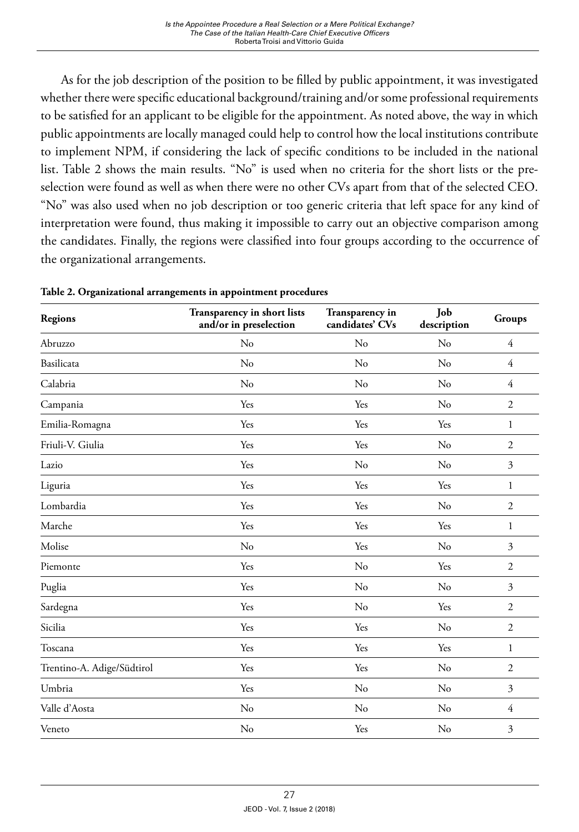As for the job description of the position to be filled by public appointment, it was investigated whether there were specific educational background/training and/or some professional requirements to be satisfied for an applicant to be eligible for the appointment. As noted above, the way in which public appointments are locally managed could help to control how the local institutions contribute to implement NPM, if considering the lack of specific conditions to be included in the national list. Table 2 shows the main results. "No" is used when no criteria for the short lists or the preselection were found as well as when there were no other CVs apart from that of the selected CEO. "No" was also used when no job description or too generic criteria that left space for any kind of interpretation were found, thus making it impossible to carry out an objective comparison among the candidates. Finally, the regions were classified into four groups according to the occurrence of the organizational arrangements.

| <b>Regions</b>             | Transparency in short lists<br>and/or in preselection | Transparency in<br>candidates' CVs | Job<br>description | Groups               |
|----------------------------|-------------------------------------------------------|------------------------------------|--------------------|----------------------|
| Abruzzo                    | No                                                    | $\rm No$                           | No                 | $\overline{4}$       |
| Basilicata                 | No                                                    | No                                 | No                 | 4                    |
| Calabria                   | N <sub>o</sub>                                        | No                                 | No                 | $\overline{4}$       |
| Campania                   | Yes                                                   | Yes                                | $\rm No$           | $\overline{2}$       |
| Emilia-Romagna             | Yes                                                   | Yes                                | Yes                | $\mathbf{1}$         |
| Friuli-V. Giulia           | Yes                                                   | Yes                                | No                 | $\mathfrak{2}$       |
| Lazio                      | Yes                                                   | No                                 | No                 | $\boldsymbol{\beta}$ |
| Liguria                    | Yes                                                   | Yes                                | Yes                | 1                    |
| Lombardia                  | Yes                                                   | Yes                                | No                 | $\mathfrak{2}$       |
| Marche                     | Yes                                                   | Yes                                | Yes                | $\mathbf{1}$         |
| Molise                     | No                                                    | Yes                                | No                 | $\mathfrak{Z}$       |
| Piemonte                   | Yes                                                   | No                                 | Yes                | $\overline{2}$       |
| Puglia                     | Yes                                                   | No                                 | No                 | $\mathfrak{Z}$       |
| Sardegna                   | Yes                                                   | No                                 | Yes                | $\overline{2}$       |
| Sicilia                    | Yes                                                   | Yes                                | No                 | $\sqrt{2}$           |
| Toscana                    | Yes                                                   | Yes                                | Yes                | $\mathbf{1}$         |
| Trentino-A. Adige/Südtirol | Yes                                                   | Yes                                | No                 | $\overline{2}$       |
| Umbria                     | Yes                                                   | No                                 | No                 | 3                    |
| Valle d'Aosta              | No                                                    | No                                 | No                 | $\overline{4}$       |
| Veneto                     | No                                                    | Yes                                | No                 | $\boldsymbol{\beta}$ |

**Table 2. Organizational arrangements in appointment procedures**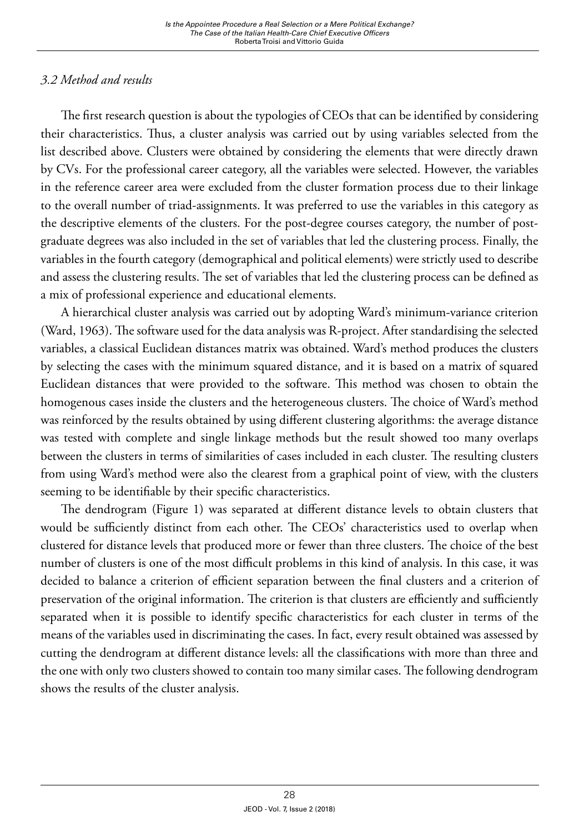## *3.2 Method and results*

The first research question is about the typologies of CEOs that can be identified by considering their characteristics. Thus, a cluster analysis was carried out by using variables selected from the list described above. Clusters were obtained by considering the elements that were directly drawn by CVs. For the professional career category, all the variables were selected. However, the variables in the reference career area were excluded from the cluster formation process due to their linkage to the overall number of triad-assignments. It was preferred to use the variables in this category as the descriptive elements of the clusters. For the post-degree courses category, the number of postgraduate degrees was also included in the set of variables that led the clustering process. Finally, the variables in the fourth category (demographical and political elements) were strictly used to describe and assess the clustering results. The set of variables that led the clustering process can be defined as a mix of professional experience and educational elements.

A hierarchical cluster analysis was carried out by adopting Ward's minimum-variance criterion (Ward, 1963). The software used for the data analysis was R-project. After standardising the selected variables, a classical Euclidean distances matrix was obtained. Ward's method produces the clusters by selecting the cases with the minimum squared distance, and it is based on a matrix of squared Euclidean distances that were provided to the software. This method was chosen to obtain the homogenous cases inside the clusters and the heterogeneous clusters. The choice of Ward's method was reinforced by the results obtained by using different clustering algorithms: the average distance was tested with complete and single linkage methods but the result showed too many overlaps between the clusters in terms of similarities of cases included in each cluster. The resulting clusters from using Ward's method were also the clearest from a graphical point of view, with the clusters seeming to be identifiable by their specific characteristics.

The dendrogram (Figure 1) was separated at different distance levels to obtain clusters that would be sufficiently distinct from each other. The CEOs' characteristics used to overlap when clustered for distance levels that produced more or fewer than three clusters. The choice of the best number of clusters is one of the most difficult problems in this kind of analysis. In this case, it was decided to balance a criterion of efficient separation between the final clusters and a criterion of preservation of the original information. The criterion is that clusters are efficiently and sufficiently separated when it is possible to identify specific characteristics for each cluster in terms of the means of the variables used in discriminating the cases. In fact, every result obtained was assessed by cutting the dendrogram at different distance levels: all the classifications with more than three and the one with only two clusters showed to contain too many similar cases. The following dendrogram shows the results of the cluster analysis.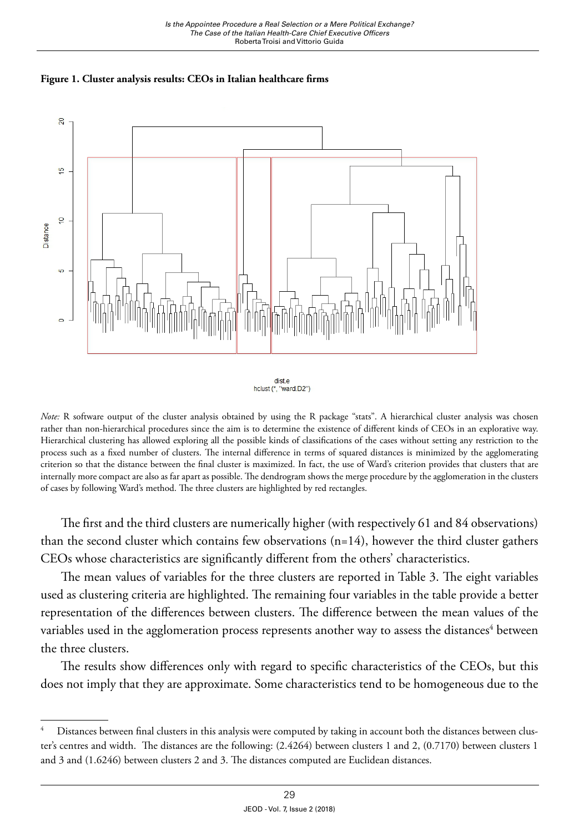



dist.e hclust (\*. "ward.D2")

*Note:* R software output of the cluster analysis obtained by using the R package "stats". A hierarchical cluster analysis was chosen rather than non-hierarchical procedures since the aim is to determine the existence of different kinds of CEOs in an explorative way. Hierarchical clustering has allowed exploring all the possible kinds of classifications of the cases without setting any restriction to the process such as a fixed number of clusters. The internal difference in terms of squared distances is minimized by the agglomerating criterion so that the distance between the final cluster is maximized. In fact, the use of Ward's criterion provides that clusters that are internally more compact are also as far apart as possible. The dendrogram shows the merge procedure by the agglomeration in the clusters of cases by following Ward's method. The three clusters are highlighted by red rectangles.

The first and the third clusters are numerically higher (with respectively 61 and 84 observations) than the second cluster which contains few observations  $(n=14)$ , however the third cluster gathers CEOs whose characteristics are significantly different from the others' characteristics.

The mean values of variables for the three clusters are reported in Table 3. The eight variables used as clustering criteria are highlighted. The remaining four variables in the table provide a better representation of the differences between clusters. The difference between the mean values of the variables used in the agglomeration process represents another way to assess the distances $^{\rm 4}$  between the three clusters.

The results show differences only with regard to specific characteristics of the CEOs, but this does not imply that they are approximate. Some characteristics tend to be homogeneous due to the

Distances between final clusters in this analysis were computed by taking in account both the distances between cluster's centres and width. The distances are the following: (2.4264) between clusters 1 and 2, (0.7170) between clusters 1 and 3 and (1.6246) between clusters 2 and 3. The distances computed are Euclidean distances.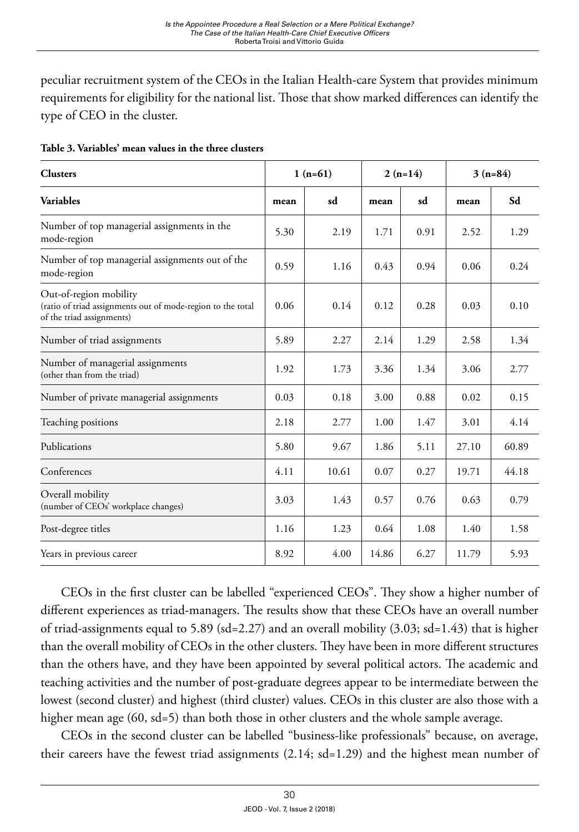peculiar recruitment system of the CEOs in the Italian Health-care System that provides minimum requirements for eligibility for the national list. Those that show marked differences can identify the type of CEO in the cluster.

| <b>Clusters</b>                                                                                                    |      | $1(n=61)$ |       | $2(n=14)$ | $3(n=84)$ |       |  |
|--------------------------------------------------------------------------------------------------------------------|------|-----------|-------|-----------|-----------|-------|--|
| <b>Variables</b>                                                                                                   | mean | sd        | mean  | sd        | mean      | Sd    |  |
| Number of top managerial assignments in the<br>mode-region                                                         | 5.30 | 2.19      | 1.71  | 0.91      | 2.52      | 1.29  |  |
| Number of top managerial assignments out of the<br>mode-region                                                     | 0.59 | 1.16      | 0.43  | 0.94      | 0.06      | 0.24  |  |
| Out-of-region mobility<br>(ratio of triad assignments out of mode-region to the total<br>of the triad assignments) | 0.06 | 0.14      | 0.12  | 0.28      | 0.03      | 0.10  |  |
| Number of triad assignments                                                                                        | 5.89 | 2.27      | 2.14  | 1.29      | 2.58      | 1.34  |  |
| Number of managerial assignments<br>(other than from the triad)                                                    | 1.92 | 1.73      | 3.36  | 1.34      | 3.06      | 2.77  |  |
| Number of private managerial assignments                                                                           | 0.03 | 0.18      | 3.00  | 0.88      | 0.02      | 0.15  |  |
| Teaching positions                                                                                                 | 2.18 | 2.77      | 1.00  | 1.47      | 3.01      | 4.14  |  |
| Publications                                                                                                       | 5.80 | 9.67      | 1.86  | 5.11      | 27.10     | 60.89 |  |
| Conferences                                                                                                        | 4.11 | 10.61     | 0.07  | 0.27      | 19.71     | 44.18 |  |
| Overall mobility<br>(number of CEOs' workplace changes)                                                            | 3.03 | 1.43      | 0.57  | 0.76      | 0.63      | 0.79  |  |
| Post-degree titles                                                                                                 | 1.16 | 1.23      | 0.64  | 1.08      | 1.40      | 1.58  |  |
| Years in previous career                                                                                           | 8.92 | 4.00      | 14.86 | 6.27      | 11.79     | 5.93  |  |

#### **Table 3. Variables' mean values in the three clusters**

CEOs in the first cluster can be labelled "experienced CEOs". They show a higher number of different experiences as triad-managers. The results show that these CEOs have an overall number of triad-assignments equal to 5.89 (sd=2.27) and an overall mobility  $(3.03; sd=1.43)$  that is higher than the overall mobility of CEOs in the other clusters. They have been in more different structures than the others have, and they have been appointed by several political actors. The academic and teaching activities and the number of post-graduate degrees appear to be intermediate between the lowest (second cluster) and highest (third cluster) values. CEOs in this cluster are also those with a higher mean age (60, sd=5) than both those in other clusters and the whole sample average.

CEOs in the second cluster can be labelled "business-like professionals" because, on average, their careers have the fewest triad assignments (2.14; sd=1.29) and the highest mean number of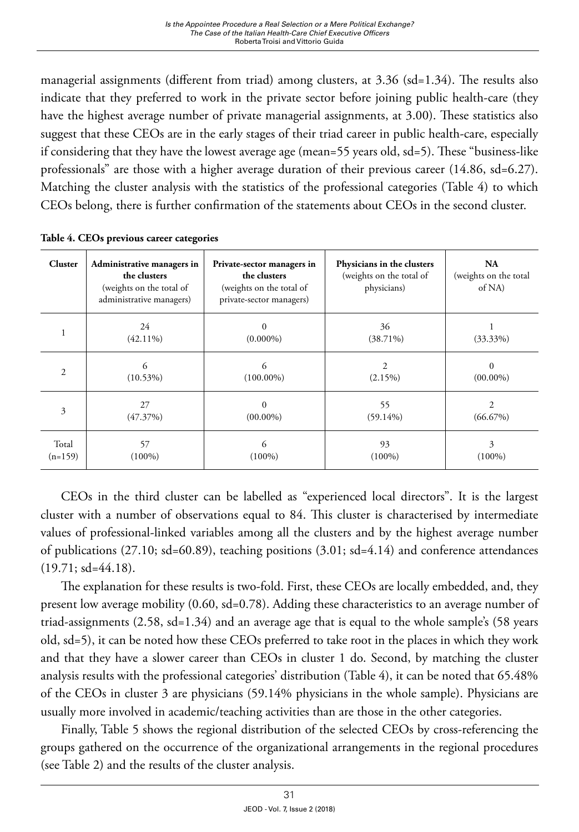managerial assignments (different from triad) among clusters, at 3.36 (sd=1.34). The results also indicate that they preferred to work in the private sector before joining public health-care (they have the highest average number of private managerial assignments, at 3.00). These statistics also suggest that these CEOs are in the early stages of their triad career in public health-care, especially if considering that they have the lowest average age (mean=55 years old, sd=5). These "business-like professionals" are those with a higher average duration of their previous career (14.86, sd=6.27). Matching the cluster analysis with the statistics of the professional categories (Table 4) to which CEOs belong, there is further confirmation of the statements about CEOs in the second cluster.

| Cluster   | Administrative managers in<br>the clusters<br>(weights on the total of<br>administrative managers) | Private-sector managers in<br>the clusters<br>(weights on the total of<br>private-sector managers) | Physicians in the clusters<br>(weights on the total of<br>physicians) | <b>NA</b><br>(weights on the total<br>of NA |
|-----------|----------------------------------------------------------------------------------------------------|----------------------------------------------------------------------------------------------------|-----------------------------------------------------------------------|---------------------------------------------|
|           | 24<br>$(42.11\%)$                                                                                  | $\Omega$<br>$(0.000\%)$                                                                            | 36<br>$(38.71\%)$                                                     | $(33.33\%)$                                 |
| 2         | 6                                                                                                  | 6                                                                                                  | $\overline{c}$                                                        | $\Omega$                                    |
|           | $(10.53\%)$                                                                                        | $(100.00\%)$                                                                                       | $(2.15\%)$                                                            | $(00.00\%)$                                 |
| 3         | 27                                                                                                 | $\Omega$                                                                                           | 55                                                                    | $\overline{c}$                              |
|           | (47.37%)                                                                                           | $(00.00\%)$                                                                                        | $(59.14\%)$                                                           | $(66.67\%)$                                 |
| Total     | 57                                                                                                 | 6                                                                                                  | 93                                                                    | 3                                           |
| $(n=159)$ | $(100\%)$                                                                                          | $(100\%)$                                                                                          | $(100\%)$                                                             | $(100\%)$                                   |

**Table 4. CEOs previous career categories**

CEOs in the third cluster can be labelled as "experienced local directors". It is the largest cluster with a number of observations equal to 84. This cluster is characterised by intermediate values of professional-linked variables among all the clusters and by the highest average number of publications (27.10; sd=60.89), teaching positions (3.01; sd=4.14) and conference attendances  $(19.71; sd=44.18).$ 

The explanation for these results is two-fold. First, these CEOs are locally embedded, and, they present low average mobility (0.60, sd=0.78). Adding these characteristics to an average number of triad-assignments (2.58, sd=1.34) and an average age that is equal to the whole sample's (58 years old, sd=5), it can be noted how these CEOs preferred to take root in the places in which they work and that they have a slower career than CEOs in cluster 1 do. Second, by matching the cluster analysis results with the professional categories' distribution (Table 4), it can be noted that 65.48% of the CEOs in cluster 3 are physicians (59.14% physicians in the whole sample). Physicians are usually more involved in academic/teaching activities than are those in the other categories.

Finally, Table 5 shows the regional distribution of the selected CEOs by cross-referencing the groups gathered on the occurrence of the organizational arrangements in the regional procedures (see Table 2) and the results of the cluster analysis.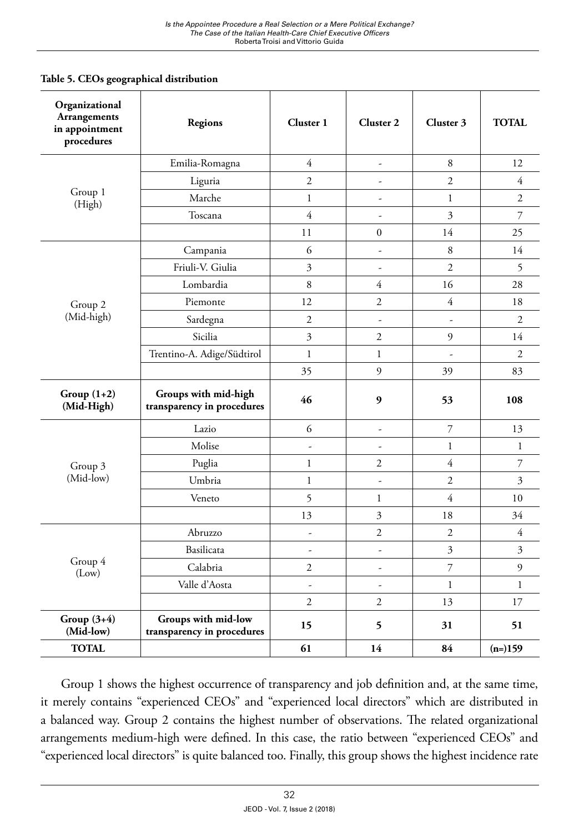| Table 5. CEOs geographical distribution |  |  |
|-----------------------------------------|--|--|
|-----------------------------------------|--|--|

| Organizational<br>Arrangements<br>in appointment<br>procedures               | Regions                                            | Cluster 1               | Cluster 2        | Cluster 3                                                                                                                                                                                                                                                                                                                                                                                                                                                                                                                                                                                                                                                                                                                | <b>TOTAL</b>   |
|------------------------------------------------------------------------------|----------------------------------------------------|-------------------------|------------------|--------------------------------------------------------------------------------------------------------------------------------------------------------------------------------------------------------------------------------------------------------------------------------------------------------------------------------------------------------------------------------------------------------------------------------------------------------------------------------------------------------------------------------------------------------------------------------------------------------------------------------------------------------------------------------------------------------------------------|----------------|
|                                                                              | Emilia-Romagna                                     | 4                       | ÷,               | 8                                                                                                                                                                                                                                                                                                                                                                                                                                                                                                                                                                                                                                                                                                                        | 12             |
| Group 1<br>(High)                                                            | Liguria                                            | $\overline{2}$          | ÷,               | $\overline{2}$                                                                                                                                                                                                                                                                                                                                                                                                                                                                                                                                                                                                                                                                                                           | $\overline{4}$ |
|                                                                              | Marche                                             | $\mathbf{1}$            | ÷,               | $\mathbf{1}$                                                                                                                                                                                                                                                                                                                                                                                                                                                                                                                                                                                                                                                                                                             | 2              |
|                                                                              | Toscana                                            | $\overline{4}$          | L.               | $\mathfrak{Z}$                                                                                                                                                                                                                                                                                                                                                                                                                                                                                                                                                                                                                                                                                                           | 7              |
|                                                                              |                                                    | 11                      | $\boldsymbol{0}$ | 14                                                                                                                                                                                                                                                                                                                                                                                                                                                                                                                                                                                                                                                                                                                       | 25             |
|                                                                              | Campania                                           | 6                       | $\frac{1}{2}$    | 8<br>14<br>$\mathfrak{2}$<br>5<br>÷<br>16<br>4<br>28<br>$\overline{4}$<br>$\mathfrak{2}$<br>18<br>$\overline{2}$<br>ä,<br>÷,<br>$\sqrt{2}$<br>9<br>14<br>$\mathbf{1}$<br>$\overline{2}$<br>$\overline{a}$<br>9<br>39<br>83<br>9<br>53<br>108<br>$\overline{\mathcal{I}}$<br>13<br>-<br>$\mathbf{1}$<br>1<br>$\overline{a}$<br>$\overline{4}$<br>$\overline{c}$<br>$\overline{7}$<br>$\overline{2}$<br>$\overline{\mathbf{3}}$<br>÷,<br>$\overline{4}$<br>$\mathbf{1}$<br>10<br>3<br>34<br>18<br>$\overline{2}$<br>$\mathfrak{2}$<br>$\overline{4}$<br>$\mathfrak{Z}$<br>3<br>÷,<br>7<br>9<br>÷,<br>$\mathbf{1}$<br>$\mathbf{1}$<br>$\frac{1}{2}$<br>$\overline{2}$<br>13<br>17<br>5<br>31<br>51<br>14<br>84<br>$(n=)159$ |                |
| Group 2<br>(Mid-high)<br>Group $(1+2)$<br>(Mid-High)<br>Group 3<br>(Mid-low) | Friuli-V. Giulia                                   | 3                       |                  |                                                                                                                                                                                                                                                                                                                                                                                                                                                                                                                                                                                                                                                                                                                          |                |
|                                                                              | Lombardia                                          | 8                       |                  |                                                                                                                                                                                                                                                                                                                                                                                                                                                                                                                                                                                                                                                                                                                          |                |
|                                                                              | Piemonte                                           | 12                      |                  |                                                                                                                                                                                                                                                                                                                                                                                                                                                                                                                                                                                                                                                                                                                          |                |
|                                                                              | Sardegna                                           | $\overline{2}$          |                  |                                                                                                                                                                                                                                                                                                                                                                                                                                                                                                                                                                                                                                                                                                                          |                |
|                                                                              | Sicilia                                            | $\overline{\mathbf{3}}$ |                  |                                                                                                                                                                                                                                                                                                                                                                                                                                                                                                                                                                                                                                                                                                                          |                |
|                                                                              | Trentino-A. Adige/Südtirol                         | $\mathbf{1}$            |                  |                                                                                                                                                                                                                                                                                                                                                                                                                                                                                                                                                                                                                                                                                                                          |                |
|                                                                              |                                                    | 35                      |                  |                                                                                                                                                                                                                                                                                                                                                                                                                                                                                                                                                                                                                                                                                                                          |                |
|                                                                              | Groups with mid-high<br>transparency in procedures | 46                      |                  |                                                                                                                                                                                                                                                                                                                                                                                                                                                                                                                                                                                                                                                                                                                          |                |
|                                                                              | Lazio                                              | 6                       |                  |                                                                                                                                                                                                                                                                                                                                                                                                                                                                                                                                                                                                                                                                                                                          |                |
|                                                                              | Molise                                             | L,                      |                  |                                                                                                                                                                                                                                                                                                                                                                                                                                                                                                                                                                                                                                                                                                                          |                |
|                                                                              | Puglia                                             | $\mathbf{1}$            |                  |                                                                                                                                                                                                                                                                                                                                                                                                                                                                                                                                                                                                                                                                                                                          |                |
|                                                                              | Umbria                                             | $\mathbf{1}$            |                  |                                                                                                                                                                                                                                                                                                                                                                                                                                                                                                                                                                                                                                                                                                                          |                |
|                                                                              | Veneto                                             | 5                       |                  |                                                                                                                                                                                                                                                                                                                                                                                                                                                                                                                                                                                                                                                                                                                          |                |
|                                                                              |                                                    | 13                      |                  |                                                                                                                                                                                                                                                                                                                                                                                                                                                                                                                                                                                                                                                                                                                          |                |
|                                                                              | Abruzzo                                            | ÷,                      |                  |                                                                                                                                                                                                                                                                                                                                                                                                                                                                                                                                                                                                                                                                                                                          |                |
|                                                                              | Basilicata                                         | ÷,                      |                  |                                                                                                                                                                                                                                                                                                                                                                                                                                                                                                                                                                                                                                                                                                                          |                |
| Group 4<br>(Low)                                                             | Calabria                                           | $\overline{2}$          |                  |                                                                                                                                                                                                                                                                                                                                                                                                                                                                                                                                                                                                                                                                                                                          |                |
|                                                                              | Valle d'Aosta                                      | ÷,                      |                  |                                                                                                                                                                                                                                                                                                                                                                                                                                                                                                                                                                                                                                                                                                                          |                |
|                                                                              |                                                    | $\overline{c}$          |                  |                                                                                                                                                                                                                                                                                                                                                                                                                                                                                                                                                                                                                                                                                                                          |                |
| Group $(3+4)$<br>(Mid-low)                                                   | Groups with mid-low<br>transparency in procedures  | 15                      |                  |                                                                                                                                                                                                                                                                                                                                                                                                                                                                                                                                                                                                                                                                                                                          |                |
| <b>TOTAL</b>                                                                 |                                                    | 61                      |                  |                                                                                                                                                                                                                                                                                                                                                                                                                                                                                                                                                                                                                                                                                                                          |                |

Group 1 shows the highest occurrence of transparency and job definition and, at the same time, it merely contains "experienced CEOs" and "experienced local directors" which are distributed in a balanced way. Group 2 contains the highest number of observations. The related organizational arrangements medium-high were defined. In this case, the ratio between "experienced CEOs" and "experienced local directors" is quite balanced too. Finally, this group shows the highest incidence rate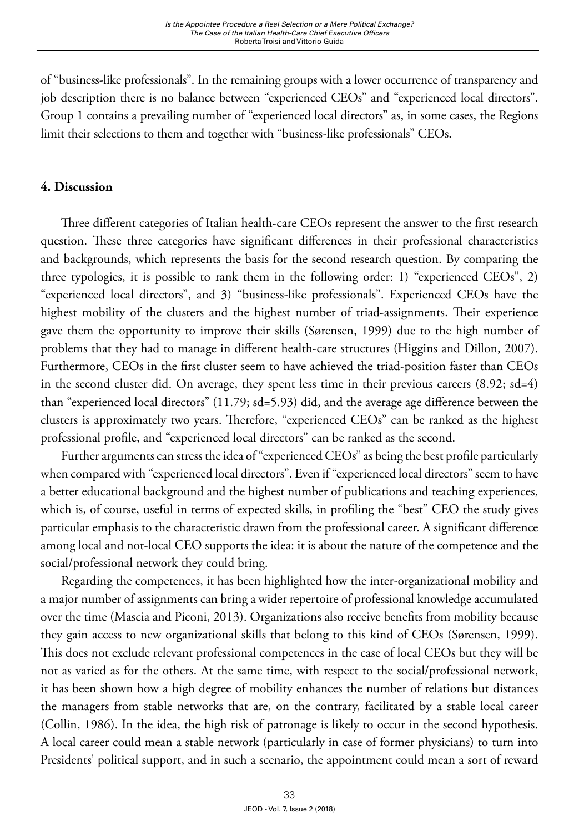of "business-like professionals". In the remaining groups with a lower occurrence of transparency and job description there is no balance between "experienced CEOs" and "experienced local directors". Group 1 contains a prevailing number of "experienced local directors" as, in some cases, the Regions limit their selections to them and together with "business-like professionals" CEOs.

#### **4. Discussion**

Three different categories of Italian health-care CEOs represent the answer to the first research question. These three categories have significant differences in their professional characteristics and backgrounds, which represents the basis for the second research question. By comparing the three typologies, it is possible to rank them in the following order: 1) "experienced CEOs", 2) "experienced local directors", and 3) "business-like professionals". Experienced CEOs have the highest mobility of the clusters and the highest number of triad-assignments. Their experience gave them the opportunity to improve their skills (Sørensen, 1999) due to the high number of problems that they had to manage in different health-care structures (Higgins and Dillon, 2007). Furthermore, CEOs in the first cluster seem to have achieved the triad-position faster than CEOs in the second cluster did. On average, they spent less time in their previous careers (8.92; sd=4) than "experienced local directors" (11.79; sd=5.93) did, and the average age difference between the clusters is approximately two years. Therefore, "experienced CEOs" can be ranked as the highest professional profile, and "experienced local directors" can be ranked as the second.

Further arguments can stress the idea of "experienced CEOs" as being the best profile particularly when compared with "experienced local directors". Even if "experienced local directors" seem to have a better educational background and the highest number of publications and teaching experiences, which is, of course, useful in terms of expected skills, in profiling the "best" CEO the study gives particular emphasis to the characteristic drawn from the professional career. A significant difference among local and not-local CEO supports the idea: it is about the nature of the competence and the social/professional network they could bring.

Regarding the competences, it has been highlighted how the inter-organizational mobility and a major number of assignments can bring a wider repertoire of professional knowledge accumulated over the time (Mascia and Piconi, 2013). Organizations also receive benefits from mobility because they gain access to new organizational skills that belong to this kind of CEOs (Sørensen, 1999). This does not exclude relevant professional competences in the case of local CEOs but they will be not as varied as for the others. At the same time, with respect to the social/professional network, it has been shown how a high degree of mobility enhances the number of relations but distances the managers from stable networks that are, on the contrary, facilitated by a stable local career (Collin, 1986). In the idea, the high risk of patronage is likely to occur in the second hypothesis. A local career could mean a stable network (particularly in case of former physicians) to turn into Presidents' political support, and in such a scenario, the appointment could mean a sort of reward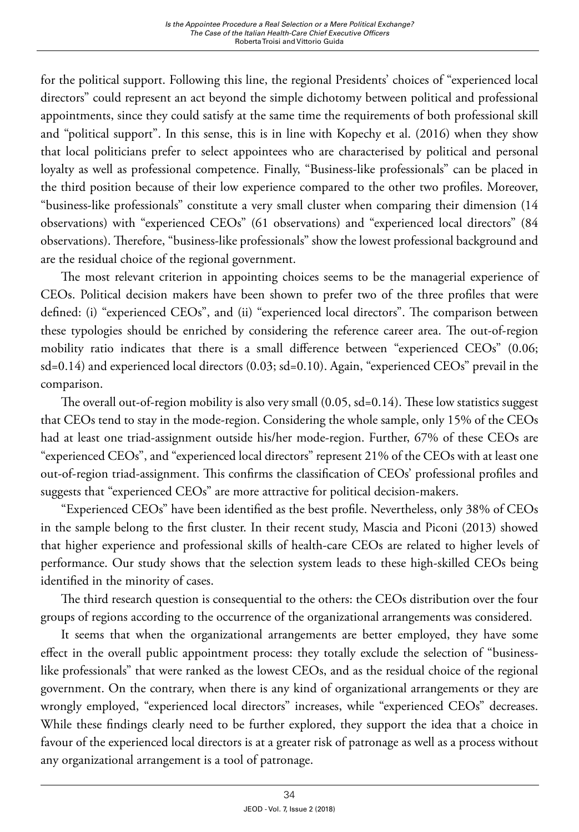for the political support. Following this line, the regional Presidents' choices of "experienced local directors" could represent an act beyond the simple dichotomy between political and professional appointments, since they could satisfy at the same time the requirements of both professional skill and "political support". In this sense, this is in line with Kopechy et al. (2016) when they show that local politicians prefer to select appointees who are characterised by political and personal loyalty as well as professional competence. Finally, "Business-like professionals" can be placed in the third position because of their low experience compared to the other two profiles. Moreover, "business-like professionals" constitute a very small cluster when comparing their dimension (14 observations) with "experienced CEOs" (61 observations) and "experienced local directors" (84 observations). Therefore, "business-like professionals" show the lowest professional background and are the residual choice of the regional government.

The most relevant criterion in appointing choices seems to be the managerial experience of CEOs. Political decision makers have been shown to prefer two of the three profiles that were defined: (i) "experienced CEOs", and (ii) "experienced local directors". The comparison between these typologies should be enriched by considering the reference career area. The out-of-region mobility ratio indicates that there is a small difference between "experienced CEOs" (0.06;  $sd=0.14$ ) and experienced local directors  $(0.03; sd=0.10)$ . Again, "experienced CEOs" prevail in the comparison.

The overall out-of-region mobility is also very small (0.05, sd=0.14). These low statistics suggest that CEOs tend to stay in the mode-region. Considering the whole sample, only 15% of the CEOs had at least one triad-assignment outside his/her mode-region. Further, 67% of these CEOs are "experienced CEOs", and "experienced local directors" represent 21% of the CEOs with at least one out-of-region triad-assignment. This confirms the classification of CEOs' professional profiles and suggests that "experienced CEOs" are more attractive for political decision-makers.

"Experienced CEOs" have been identified as the best profile. Nevertheless, only 38% of CEOs in the sample belong to the first cluster. In their recent study, Mascia and Piconi (2013) showed that higher experience and professional skills of health-care CEOs are related to higher levels of performance. Our study shows that the selection system leads to these high-skilled CEOs being identified in the minority of cases.

The third research question is consequential to the others: the CEOs distribution over the four groups of regions according to the occurrence of the organizational arrangements was considered.

It seems that when the organizational arrangements are better employed, they have some effect in the overall public appointment process: they totally exclude the selection of "businesslike professionals" that were ranked as the lowest CEOs, and as the residual choice of the regional government. On the contrary, when there is any kind of organizational arrangements or they are wrongly employed, "experienced local directors" increases, while "experienced CEOs" decreases. While these findings clearly need to be further explored, they support the idea that a choice in favour of the experienced local directors is at a greater risk of patronage as well as a process without any organizational arrangement is a tool of patronage.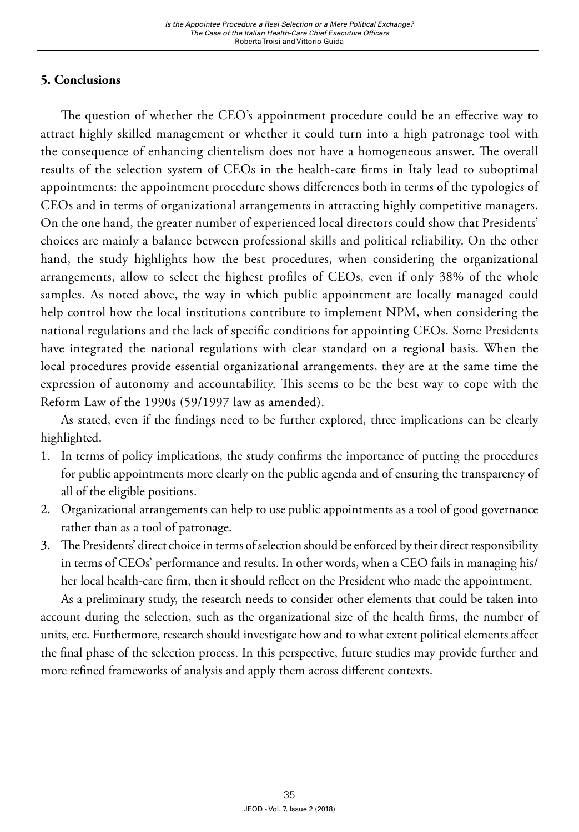# **5. Conclusions**

The question of whether the CEO's appointment procedure could be an effective way to attract highly skilled management or whether it could turn into a high patronage tool with the consequence of enhancing clientelism does not have a homogeneous answer. The overall results of the selection system of CEOs in the health-care firms in Italy lead to suboptimal appointments: the appointment procedure shows differences both in terms of the typologies of CEOs and in terms of organizational arrangements in attracting highly competitive managers. On the one hand, the greater number of experienced local directors could show that Presidents' choices are mainly a balance between professional skills and political reliability. On the other hand, the study highlights how the best procedures, when considering the organizational arrangements, allow to select the highest profiles of CEOs, even if only 38% of the whole samples. As noted above, the way in which public appointment are locally managed could help control how the local institutions contribute to implement NPM, when considering the national regulations and the lack of specific conditions for appointing CEOs. Some Presidents have integrated the national regulations with clear standard on a regional basis. When the local procedures provide essential organizational arrangements, they are at the same time the expression of autonomy and accountability. This seems to be the best way to cope with the Reform Law of the 1990s (59/1997 law as amended).

As stated, even if the findings need to be further explored, three implications can be clearly highlighted.

- 1. In terms of policy implications, the study confirms the importance of putting the procedures for public appointments more clearly on the public agenda and of ensuring the transparency of all of the eligible positions.
- 2. Organizational arrangements can help to use public appointments as a tool of good governance rather than as a tool of patronage.
- 3. The Presidents' direct choice in terms of selection should be enforced by their direct responsibility in terms of CEOs' performance and results. In other words, when a CEO fails in managing his/ her local health-care firm, then it should reflect on the President who made the appointment.

As a preliminary study, the research needs to consider other elements that could be taken into account during the selection, such as the organizational size of the health firms, the number of units, etc. Furthermore, research should investigate how and to what extent political elements affect the final phase of the selection process. In this perspective, future studies may provide further and more refined frameworks of analysis and apply them across different contexts.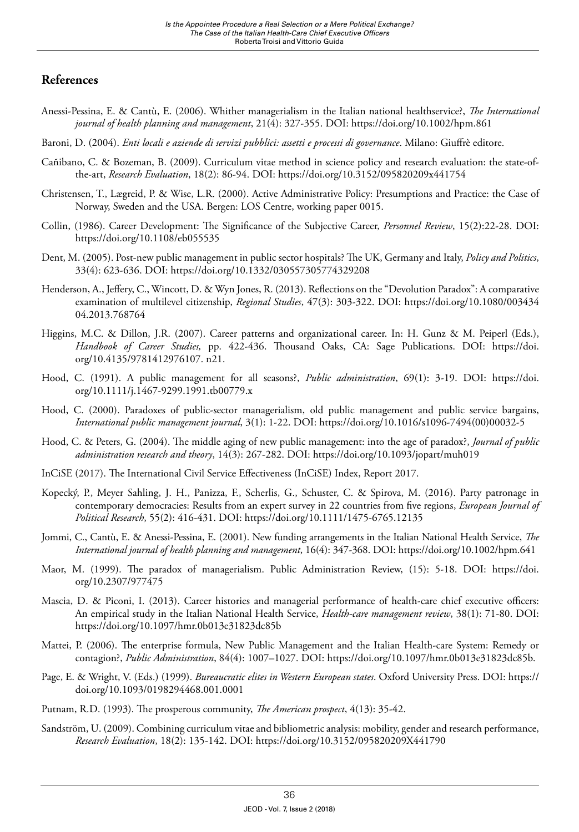#### **References**

- Anessi-Pessina, E. & Cantù, E. (2006). Whither managerialism in the Italian national healthservice?, *The International journal of health planning and management*, 21(4): 327-355. DOI: [https://doi.org/1](https://doi.org/)0.1002/hpm.861
- Baroni, D. (2004). *Enti locali e aziende di servizi pubblici: assetti e processi di governance*. Milano: Giuffrè editore.
- Cañibano, C. & Bozeman, B. (2009). Curriculum vitae method in science policy and research evaluation: the state-ofthe-art, *Research Evaluation*, 18(2): 86-94. DOI: <https://doi.org/>10.3152/095820209x441754
- Christensen, T., Lægreid, P. & Wise, L.R. (2000). Active Administrative Policy: Presumptions and Practice: the Case of Norway, Sweden and the USA. Bergen: LOS Centre, working paper 0015.
- Collin, (1986). Career Development: The Significance of the Subjective Career, *Personnel Review*, 15(2):22-28. DOI: <https://doi.org/10.1108/eb055535>
- Dent, M. (2005). Post-new public management in public sector hospitals? The UK, Germany and Italy, *Policy and Politics*, 33(4): 623-636. DOI: [https://doi.org/1](https://doi.org/)0.1332/030557305774329208
- Henderson, A., Jeffery, C., Wincott, D. & Wyn Jones, R. (2013). Reflections on the "Devolution Paradox": A comparative examination of multilevel citizenship, *Regional Studies*, 47(3): 303-322. DOI: [https://doi.org/](https://doi.org/10.1080/00343404.2013.768764)10.1080/003434 04.2013.768764
- Higgins, M.C. & Dillon, J.R. (2007). Career patterns and organizational career. In: H. Gunz & M. Peiperl (Eds.), *Handbook of Career Studies,* pp. 422-436. Thousand Oaks, CA: Sage Publications. DOI: [https://doi.](https://doi.org/10.4135/9781412976107) [org/](https://doi.org/10.4135/9781412976107)10.4135/9781412976107. n21.
- Hood, C. (1991). A public management for all seasons?, *Public administration*, 69(1): 3-19. DOI: [https://doi.](https://doi.org/10.1111/j.1467-9299.1991.tb00779.x) [org/10.1111/j.1467-9299.1991.tb00779.x](https://doi.org/10.1111/j.1467-9299.1991.tb00779.x)
- Hood, C. (2000). Paradoxes of public-sector managerialism, old public management and public service bargains, *International public management journal*, 3(1): 1-22. DOI: [https://doi.org/](https://doi.org/10.1016/s1096-7494(00)00032-5)10.1016/s1096-7494(00)00032-5
- Hood, C. & Peters, G. (2004). The middle aging of new public management: into the age of paradox?, *Journal of public administration research and theory*, 14(3): 267-282. DOI: [https://doi.org/1](https://doi.org/)0.1093/jopart/muh019
- InCiSE (2017). The International Civil Service Effectiveness (InCiSE) Index, Report 2017.
- Kopecký, P., Meyer Sahling, J. H., Panizza, F., Scherlis, G., Schuster, C. & Spirova, M. (2016). Party patronage in contemporary democracies: Results from an expert survey in 22 countries from five regions, *European Journal of Political Research*, 55(2): 416-431. DOI: <https://doi.org/>10.1111/1475-6765.12135
- Jommi, C., Cantù, E. & Anessi‐Pessina, E. (2001). New funding arrangements in the Italian National Health Service, *The International journal of health planning and management*, 16(4): 347-368. DOI: [https://doi.org/1](https://doi.org/10.1002/hpm.641)0.1002/hpm.641
- Maor, M. (1999). The paradox of managerialism. Public Administration Review, (15): 5-18. DOI: [https://doi.](https://doi.org/10.2307/977475) [org/](https://doi.org/10.2307/977475)10.2307/977475
- Mascia, D. & Piconi, I. (2013). Career histories and managerial performance of health-care chief executive officers: An empirical study in the Italian National Health Service, *Health-care management review*, 38(1): 71-80. DOI: [https://doi.org/1](https://doi.org/10.1097/hmr.0b013e31823dc85b)0.1097/hmr.0b013e31823dc85b
- Mattei, P. (2006). The enterprise formula, New Public Management and the Italian Health-care System: Remedy or contagion?, *Public Administration*, 84(4): 1007–1027. DOI: [https://doi.org/1](https://doi.org/)0.1097/hmr.0b013e31823dc85b.
- Page, E. & Wright, V. (Eds.) (1999). *Bureaucratic elites in Western European states*. Oxford University Press. DOI: [https://](https://doi.org/10.1093/0198294468.001.0001) [doi.org/10.1093/0198294468.001.0001](https://doi.org/10.1093/0198294468.001.0001)
- Putnam, R.D. (1993). The prosperous community, *The American prospect*, 4(13): 35-42.
- Sandström, U. (2009). Combining curriculum vitae and bibliometric analysis: mobility, gender and research performance, *Research Evaluation*, 18(2): 135-142. DOI:<https://doi.org/10.3152/095820209X441790>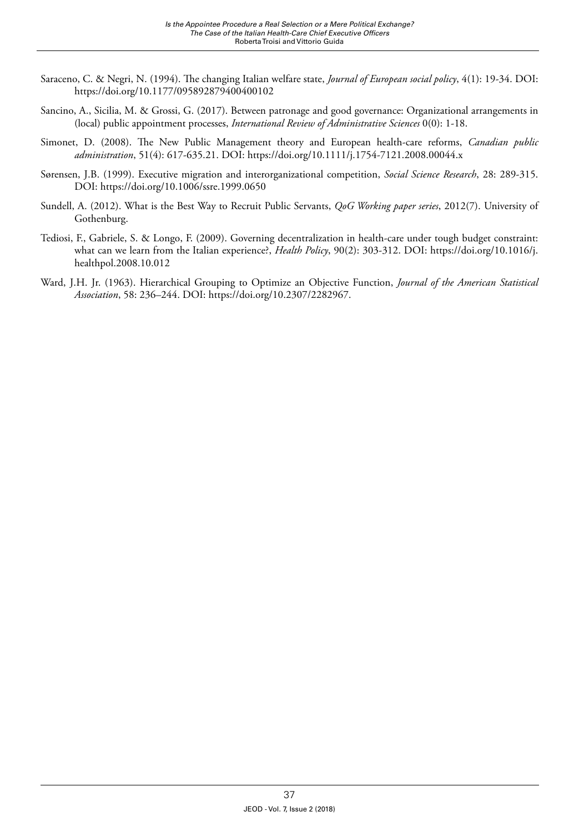- Saraceno, C. & Negri, N. (1994). The changing Italian welfare state, *Journal of European social policy*, 4(1): 19-34. DOI: [https://doi.org/1](https://doi.org/10.1177/095892879400400102)0.1177/095892879400400102
- Sancino, A., Sicilia, M. & Grossi, G. (2017). Between patronage and good governance: Organizational arrangements in (local) public appointment processes, *International Review of Administrative Sciences* 0(0): 1-18.
- Simonet, D. (2008). The New Public Management theory and European health-care reforms, *Canadian public administration*, 51(4): 617-635.21. DOI: [https://doi.org/1](https://doi.org/10.1111/j.1754-7121.2008.00044.x)0.1111/j.1754-7121.2008.00044.x
- Sørensen, J.B. (1999). Executive migration and interorganizational competition, *Social Science Research*, 28: 289-315. DOI: [https://doi.org/1](https://doi.org/10.1006/ssre.1999.0650)0.1006/ssre.1999.0650
- Sundell, A. (2012). What is the Best Way to Recruit Public Servants, *QoG Working paper series*, 2012(7). University of Gothenburg.
- Tediosi, F., Gabriele, S. & Longo, F. (2009). Governing decentralization in health-care under tough budget constraint: what can we learn from the Italian experience?, *Health Policy*, 90(2): 303-312. DOI: [https://doi.org/1](https://doi.org/10.1016/j.healthpol.2008.10.012)0.1016/j. healthpol.2008.10.012
- Ward, J.H. Jr. (1963). Hierarchical Grouping to Optimize an Objective Function, *Journal of the American Statistical Association*, 58: 236–244. DOI: [https://doi.org/](https://doi.org/10.2307/2282967)10.2307/2282967.